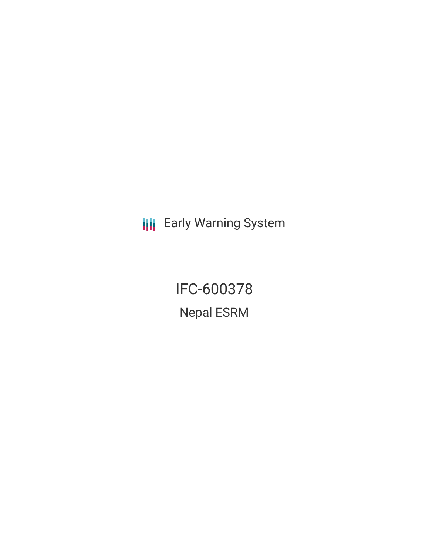**III** Early Warning System

IFC-600378 Nepal ESRM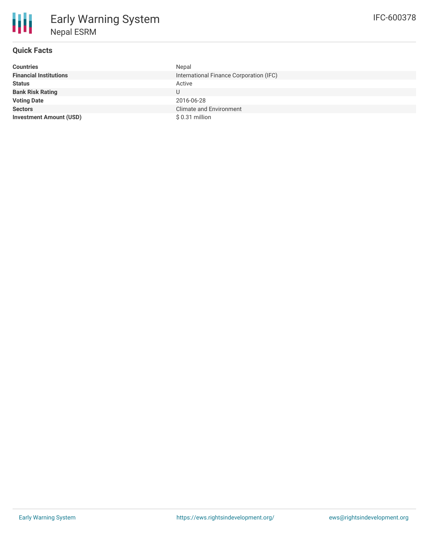# **Quick Facts**

| <b>Countries</b>               | Nepal                                   |
|--------------------------------|-----------------------------------------|
| <b>Financial Institutions</b>  | International Finance Corporation (IFC) |
| <b>Status</b>                  | Active                                  |
| <b>Bank Risk Rating</b>        | U                                       |
| <b>Voting Date</b>             | 2016-06-28                              |
| <b>Sectors</b>                 | <b>Climate and Environment</b>          |
| <b>Investment Amount (USD)</b> | \$0.31 million                          |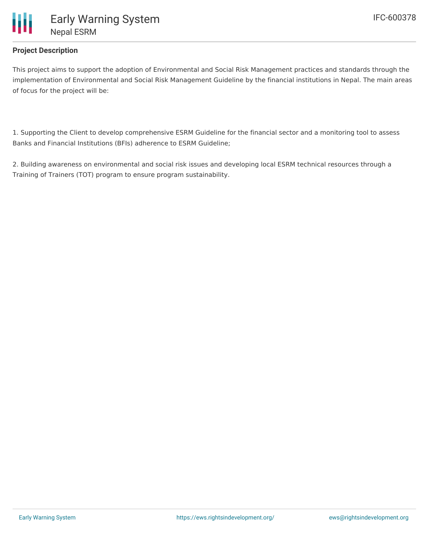

## **Project Description**

This project aims to support the adoption of Environmental and Social Risk Management practices and standards through the implementation of Environmental and Social Risk Management Guideline by the financial institutions in Nepal. The main areas of focus for the project will be:

1. Supporting the Client to develop comprehensive ESRM Guideline for the financial sector and a monitoring tool to assess Banks and Financial Institutions (BFIs) adherence to ESRM Guideline;

2. Building awareness on environmental and social risk issues and developing local ESRM technical resources through a Training of Trainers (TOT) program to ensure program sustainability.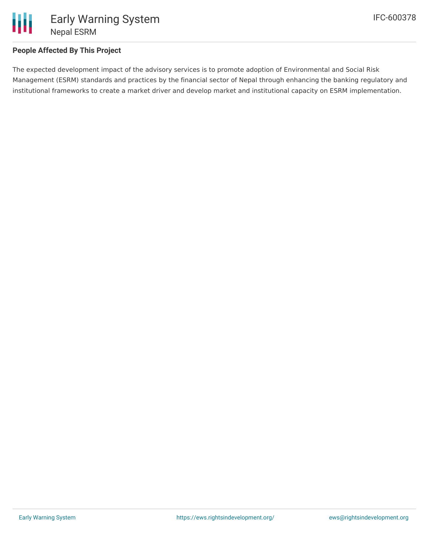

### **People Affected By This Project**

The expected development impact of the advisory services is to promote adoption of Environmental and Social Risk Management (ESRM) standards and practices by the financial sector of Nepal through enhancing the banking regulatory and institutional frameworks to create a market driver and develop market and institutional capacity on ESRM implementation.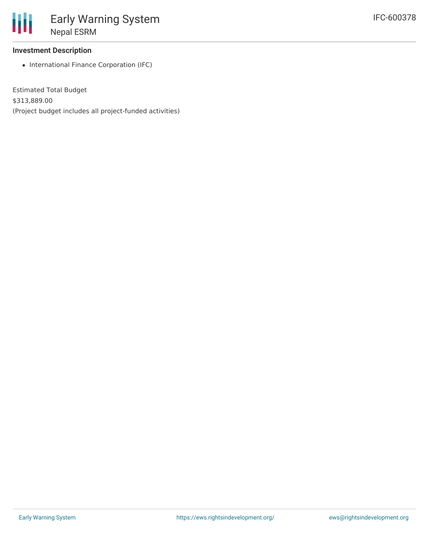#### **Investment Description**

• International Finance Corporation (IFC)

Estimated Total Budget \$313,889.00 (Project budget includes all project-funded activities)